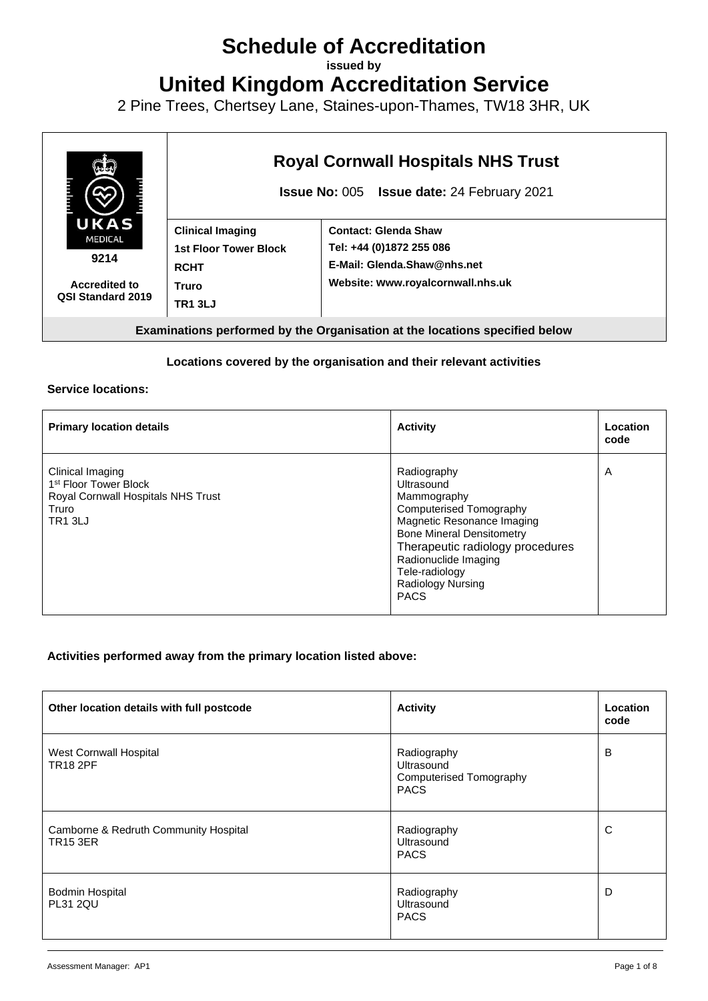# **Schedule of Accreditation**

**issued by**

**United Kingdom Accreditation Service**

2 Pine Trees, Chertsey Lane, Staines-upon-Thames, TW18 3HR, UK



#### **Locations covered by the organisation and their relevant activities**

#### **Service locations:**

| <b>Primary location details</b>                                                                                        | <b>Activity</b>                                                                                                                                                                                                                                         | Location<br>code |
|------------------------------------------------------------------------------------------------------------------------|---------------------------------------------------------------------------------------------------------------------------------------------------------------------------------------------------------------------------------------------------------|------------------|
| Clinical Imaging<br>1 <sup>st</sup> Floor Tower Block<br>Royal Cornwall Hospitals NHS Trust<br>Truro<br><b>TR1 3LJ</b> | Radiography<br>Ultrasound<br>Mammography<br>Computerised Tomography<br>Magnetic Resonance Imaging<br><b>Bone Mineral Densitometry</b><br>Therapeutic radiology procedures<br>Radionuclide Imaging<br>Tele-radiology<br>Radiology Nursing<br><b>PACS</b> | A                |

#### **Activities performed away from the primary location listed above:**

| Other location details with full postcode                | <b>Activity</b>                                                            | Location<br>code |
|----------------------------------------------------------|----------------------------------------------------------------------------|------------------|
| <b>West Cornwall Hospital</b><br><b>TR18 2PF</b>         | Radiography<br>Ultrasound<br><b>Computerised Tomography</b><br><b>PACS</b> | B                |
| Camborne & Redruth Community Hospital<br><b>TR15 3ER</b> | Radiography<br>Ultrasound<br><b>PACS</b>                                   | C                |
| Bodmin Hospital<br><b>PL31 2QU</b>                       | Radiography<br>Ultrasound<br><b>PACS</b>                                   | D                |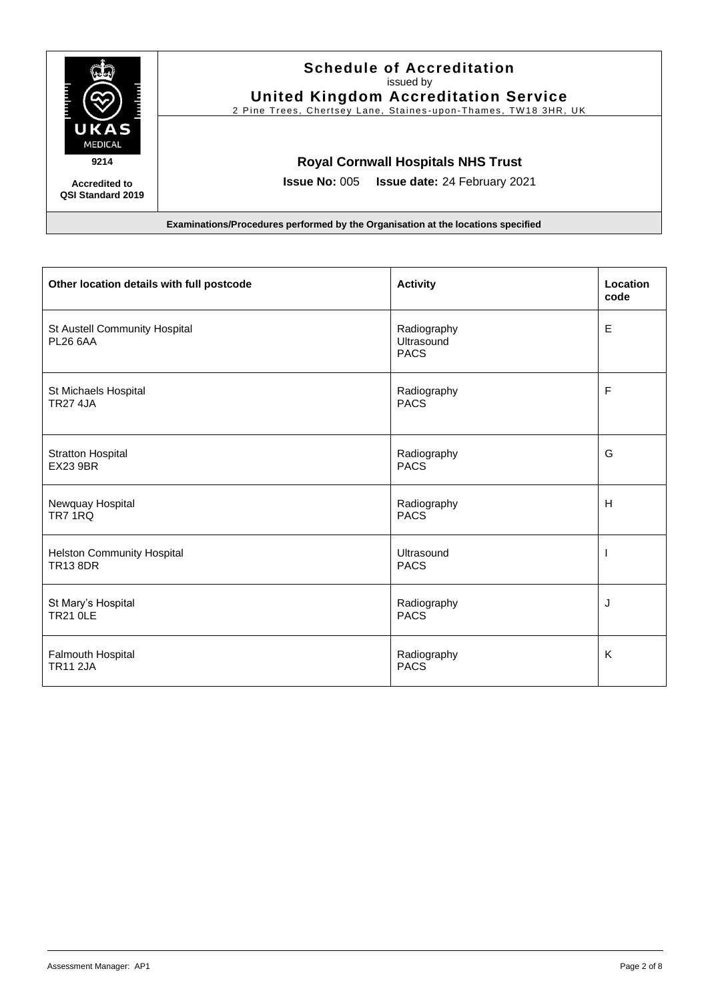

### **Schedule of Accreditation**  issued by **United Kingdom Accreditation Service**

2 Pine Trees, Chertsey Lane, Staines-upon-Thames, TW18 3HR, UK

#### **Royal Cornwall Hospitals NHS Trust**

**Issue No:** 005 **Issue date:** 24 February 2021

**Accredited to QSI Standard 2019**

| Other location details with full postcode            | <b>Activity</b>                          | Location<br>code |
|------------------------------------------------------|------------------------------------------|------------------|
| St Austell Community Hospital<br><b>PL26 6AA</b>     | Radiography<br>Ultrasound<br><b>PACS</b> | $\mathsf E$      |
| St Michaels Hospital<br><b>TR27 4JA</b>              | Radiography<br><b>PACS</b>               | F                |
| <b>Stratton Hospital</b><br><b>EX23 9BR</b>          | Radiography<br><b>PACS</b>               | G                |
| Newquay Hospital<br>TR7 1RQ                          | Radiography<br><b>PACS</b>               | H                |
| <b>Helston Community Hospital</b><br><b>TR13 8DR</b> | Ultrasound<br><b>PACS</b>                | H                |
| St Mary's Hospital<br><b>TR21 OLE</b>                | Radiography<br><b>PACS</b>               | J                |
| Falmouth Hospital<br><b>TR11 2JA</b>                 | Radiography<br><b>PACS</b>               | K                |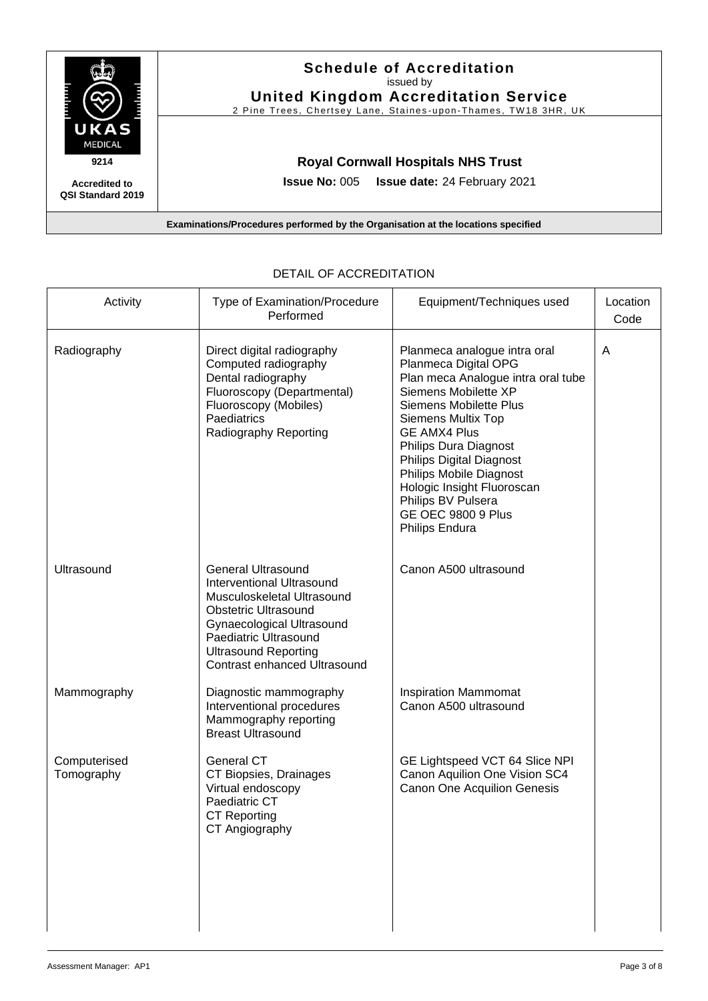

#### **Accredited to QSI Standard 2019**

### **Schedule of Accreditation**  issued by

**United Kingdom Accreditation Service** 2 Pine Trees, Chertsey Lane, Staines-upon-Thames, TW18 3HR, UK

**Royal Cornwall Hospitals NHS Trust**

**Issue No:** 005 **Issue date:** 24 February 2021

**Examinations/Procedures performed by the Organisation at the locations specified**

| Activity                   | Type of Examination/Procedure<br>Performed                                                                                                                                                                                                             | Equipment/Techniques used                                                                                                                                                                                                                                                                                                                                                                         | Location<br>Code |
|----------------------------|--------------------------------------------------------------------------------------------------------------------------------------------------------------------------------------------------------------------------------------------------------|---------------------------------------------------------------------------------------------------------------------------------------------------------------------------------------------------------------------------------------------------------------------------------------------------------------------------------------------------------------------------------------------------|------------------|
| Radiography                | Direct digital radiography<br>Computed radiography<br>Dental radiography<br>Fluoroscopy (Departmental)<br>Fluoroscopy (Mobiles)<br>Paediatrics<br>Radiography Reporting                                                                                | Planmeca analogue intra oral<br>Planmeca Digital OPG<br>Plan meca Analogue intra oral tube<br>Siemens Mobilette XP<br><b>Siemens Mobilette Plus</b><br><b>Siemens Multix Top</b><br><b>GE AMX4 Plus</b><br><b>Philips Dura Diagnost</b><br>Philips Digital Diagnost<br>Philips Mobile Diagnost<br>Hologic Insight Fluoroscan<br>Philips BV Pulsera<br><b>GE OEC 9800 9 Plus</b><br>Philips Endura | A                |
| Ultrasound                 | <b>General Ultrasound</b><br><b>Interventional Ultrasound</b><br>Musculoskeletal Ultrasound<br><b>Obstetric Ultrasound</b><br>Gynaecological Ultrasound<br>Paediatric Ultrasound<br><b>Ultrasound Reporting</b><br><b>Contrast enhanced Ultrasound</b> | Canon A500 ultrasound                                                                                                                                                                                                                                                                                                                                                                             |                  |
| Mammography                | Diagnostic mammography<br>Interventional procedures<br>Mammography reporting<br><b>Breast Ultrasound</b>                                                                                                                                               | <b>Inspiration Mammomat</b><br>Canon A500 ultrasound                                                                                                                                                                                                                                                                                                                                              |                  |
| Computerised<br>Tomography | <b>General CT</b><br>CT Biopsies, Drainages<br>Virtual endoscopy<br>Paediatric CT<br><b>CT Reporting</b><br>CT Angiography                                                                                                                             | GE Lightspeed VCT 64 Slice NPI<br>Canon Aquilion One Vision SC4<br><b>Canon One Acquilion Genesis</b>                                                                                                                                                                                                                                                                                             |                  |

#### DETAIL OF ACCREDITATION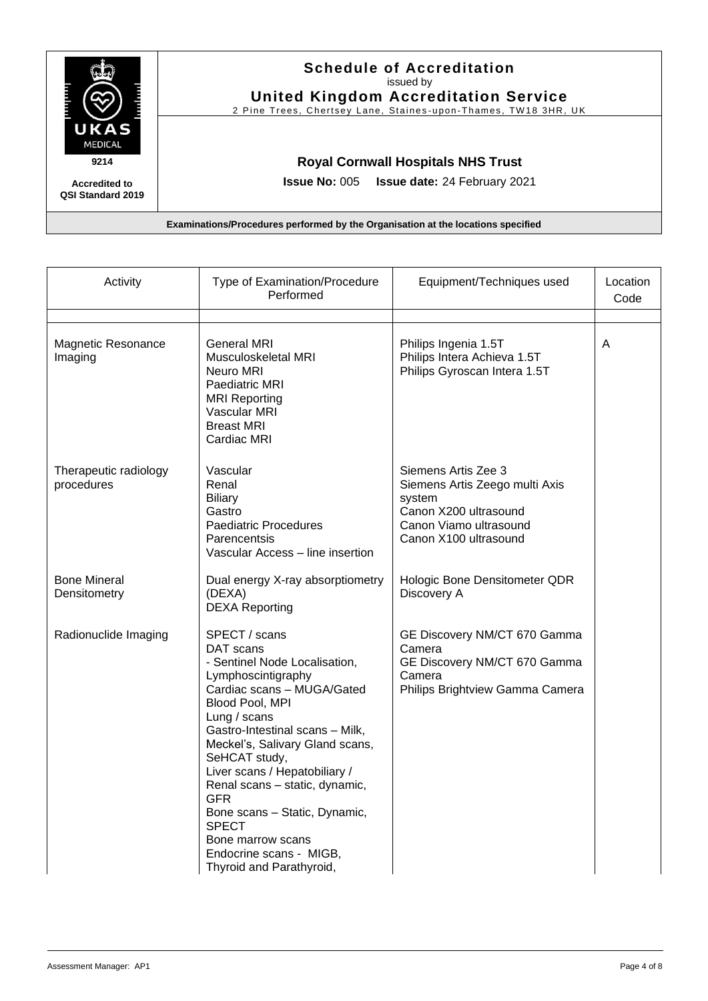

### **Schedule of Accreditation**  issued by

**United Kingdom Accreditation Service** 2 Pine Trees, Chertsey Lane, Staines-upon-Thames, TW18 3HR, UK

**Royal Cornwall Hospitals NHS Trust**

**Issue No:** 005 **Issue date:** 24 February 2021

**Accredited to QSI Standard 2019**

| Activity                             | Type of Examination/Procedure<br>Performed                                                                                                                                                                                                                                                                                                                                                                                                              | Equipment/Techniques used                                                                                                                   | Location<br>Code |
|--------------------------------------|---------------------------------------------------------------------------------------------------------------------------------------------------------------------------------------------------------------------------------------------------------------------------------------------------------------------------------------------------------------------------------------------------------------------------------------------------------|---------------------------------------------------------------------------------------------------------------------------------------------|------------------|
| <b>Magnetic Resonance</b><br>Imaging | General MRI<br>Musculoskeletal MRI<br>Neuro MRI<br>Paediatric MRI<br><b>MRI Reporting</b><br>Vascular MRI<br><b>Breast MRI</b><br><b>Cardiac MRI</b>                                                                                                                                                                                                                                                                                                    | Philips Ingenia 1.5T<br>Philips Intera Achieva 1.5T<br>Philips Gyroscan Intera 1.5T                                                         | A                |
| Therapeutic radiology<br>procedures  | Vascular<br>Renal<br><b>Biliary</b><br>Gastro<br><b>Paediatric Procedures</b><br>Parencentsis<br>Vascular Access - line insertion                                                                                                                                                                                                                                                                                                                       | Siemens Artis Zee 3<br>Siemens Artis Zeego multi Axis<br>system<br>Canon X200 ultrasound<br>Canon Viamo ultrasound<br>Canon X100 ultrasound |                  |
| <b>Bone Mineral</b><br>Densitometry  | Dual energy X-ray absorptiometry<br>(DEXA)<br><b>DEXA Reporting</b>                                                                                                                                                                                                                                                                                                                                                                                     | Hologic Bone Densitometer QDR<br>Discovery A                                                                                                |                  |
| Radionuclide Imaging                 | SPECT / scans<br>DAT scans<br>- Sentinel Node Localisation,<br>Lymphoscintigraphy<br>Cardiac scans - MUGA/Gated<br>Blood Pool, MPI<br>Lung / scans<br>Gastro-Intestinal scans - Milk,<br>Meckel's, Salivary Gland scans,<br>SeHCAT study,<br>Liver scans / Hepatobiliary /<br>Renal scans - static, dynamic,<br><b>GFR</b><br>Bone scans - Static, Dynamic,<br><b>SPECT</b><br>Bone marrow scans<br>Endocrine scans - MIGB,<br>Thyroid and Parathyroid, | GE Discovery NM/CT 670 Gamma<br>Camera<br>GE Discovery NM/CT 670 Gamma<br>Camera<br>Philips Brightview Gamma Camera                         |                  |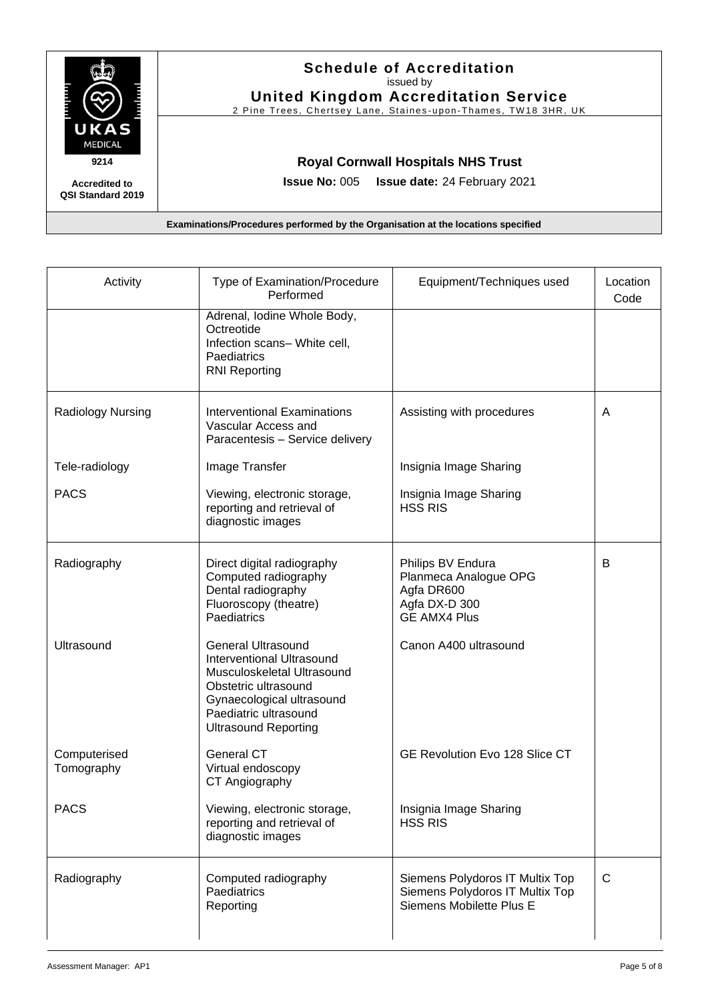

**QSI Standard 2019**

## **Schedule of Accreditation**  issued by

**United Kingdom Accreditation Service**

2 Pine Trees, Chertsey Lane, Staines-upon-Thames, TW18 3HR, UK

### **Royal Cornwall Hospitals NHS Trust**

**Issue No:** 005 **Issue date:** 24 February 2021

| Activity                   | Type of Examination/Procedure<br>Performed                                                                                                                                                        | Equipment/Techniques used                                                                        | Location<br>Code |
|----------------------------|---------------------------------------------------------------------------------------------------------------------------------------------------------------------------------------------------|--------------------------------------------------------------------------------------------------|------------------|
|                            | Adrenal, Iodine Whole Body,<br>Octreotide<br>Infection scans- White cell,<br>Paediatrics<br><b>RNI Reporting</b>                                                                                  |                                                                                                  |                  |
| Radiology Nursing          | <b>Interventional Examinations</b><br>Vascular Access and<br>Paracentesis - Service delivery                                                                                                      | Assisting with procedures                                                                        | A                |
| Tele-radiology             | Image Transfer                                                                                                                                                                                    | Insignia Image Sharing                                                                           |                  |
| <b>PACS</b>                | Viewing, electronic storage,<br>reporting and retrieval of<br>diagnostic images                                                                                                                   | Insignia Image Sharing<br><b>HSS RIS</b>                                                         |                  |
| Radiography                | Direct digital radiography<br>Computed radiography<br>Dental radiography<br>Fluoroscopy (theatre)<br>Paediatrics                                                                                  | Philips BV Endura<br>Planmeca Analogue OPG<br>Agfa DR600<br>Agfa DX-D 300<br><b>GE AMX4 Plus</b> | B                |
| Ultrasound                 | <b>General Ultrasound</b><br>Interventional Ultrasound<br>Musculoskeletal Ultrasound<br>Obstetric ultrasound<br>Gynaecological ultrasound<br>Paediatric ultrasound<br><b>Ultrasound Reporting</b> | Canon A400 ultrasound                                                                            |                  |
| Computerised<br>Tomography | <b>General CT</b><br>Virtual endoscopy<br>CT Angiography                                                                                                                                          | GE Revolution Evo 128 Slice CT                                                                   |                  |
| <b>PACS</b>                | Viewing, electronic storage,<br>reporting and retrieval of<br>diagnostic images                                                                                                                   | Insignia Image Sharing<br><b>HSS RIS</b>                                                         |                  |
| Radiography                | Computed radiography<br>Paediatrics<br>Reporting                                                                                                                                                  | Siemens Polydoros IT Multix Top<br>Siemens Polydoros IT Multix Top<br>Siemens Mobilette Plus E   | C                |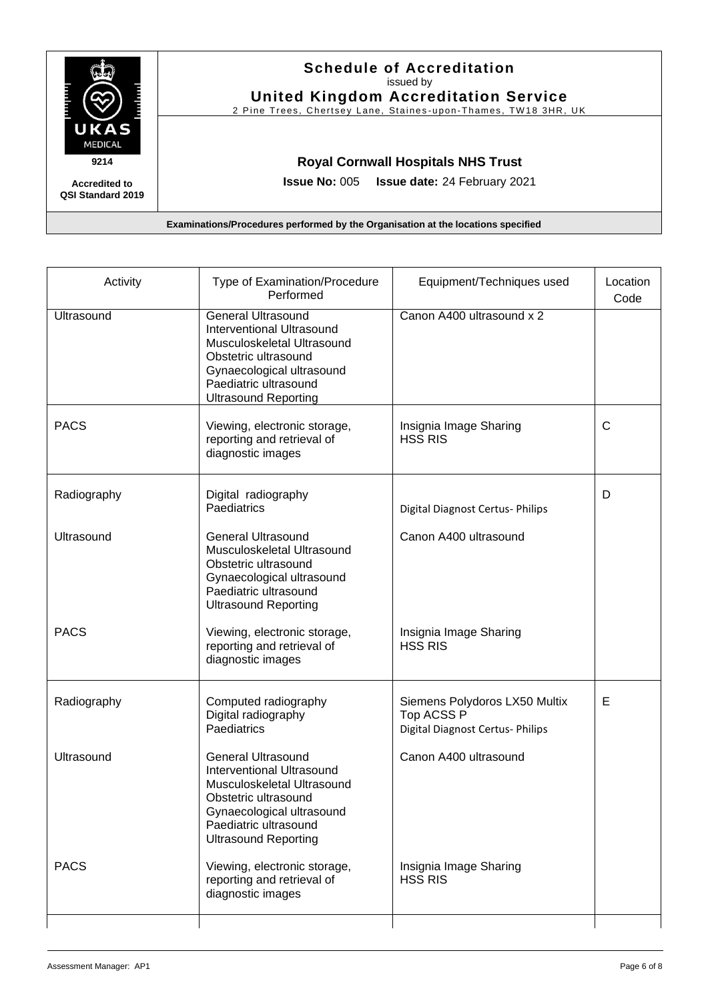

## **Schedule of Accreditation**  issued by

**United Kingdom Accreditation Service**

2 Pine Trees, Chertsey Lane, Staines-upon-Thames, TW18 3HR, UK

### **Royal Cornwall Hospitals NHS Trust**

**Issue No:** 005 **Issue date:** 24 February 2021

**QSI Standard 2019**

| Activity    | Type of Examination/Procedure<br>Performed                                                                                                                                                        | Equipment/Techniques used                                                       | Location<br>Code |
|-------------|---------------------------------------------------------------------------------------------------------------------------------------------------------------------------------------------------|---------------------------------------------------------------------------------|------------------|
| Ultrasound  | <b>General Ultrasound</b><br>Interventional Ultrasound<br>Musculoskeletal Ultrasound<br>Obstetric ultrasound<br>Gynaecological ultrasound<br>Paediatric ultrasound<br><b>Ultrasound Reporting</b> | Canon A400 ultrasound x 2                                                       |                  |
| <b>PACS</b> | Viewing, electronic storage,<br>reporting and retrieval of<br>diagnostic images                                                                                                                   | Insignia Image Sharing<br><b>HSS RIS</b>                                        | $\mathsf{C}$     |
| Radiography | Digital radiography<br>Paediatrics                                                                                                                                                                | Digital Diagnost Certus- Philips                                                | D                |
| Ultrasound  | <b>General Ultrasound</b><br>Musculoskeletal Ultrasound<br>Obstetric ultrasound<br>Gynaecological ultrasound<br>Paediatric ultrasound<br><b>Ultrasound Reporting</b>                              | Canon A400 ultrasound                                                           |                  |
| <b>PACS</b> | Viewing, electronic storage,<br>reporting and retrieval of<br>diagnostic images                                                                                                                   | Insignia Image Sharing<br><b>HSS RIS</b>                                        |                  |
| Radiography | Computed radiography<br>Digital radiography<br>Paediatrics                                                                                                                                        | Siemens Polydoros LX50 Multix<br>Top ACSS P<br>Digital Diagnost Certus- Philips | E                |
| Ultrasound  | <b>General Ultrasound</b><br>Interventional Ultrasound<br>Musculoskeletal Ultrasound<br>Obstetric ultrasound<br>Gynaecological ultrasound<br>Paediatric ultrasound<br><b>Ultrasound Reporting</b> | Canon A400 ultrasound                                                           |                  |
| <b>PACS</b> | Viewing, electronic storage,<br>reporting and retrieval of<br>diagnostic images                                                                                                                   | Insignia Image Sharing<br><b>HSS RIS</b>                                        |                  |
|             |                                                                                                                                                                                                   |                                                                                 |                  |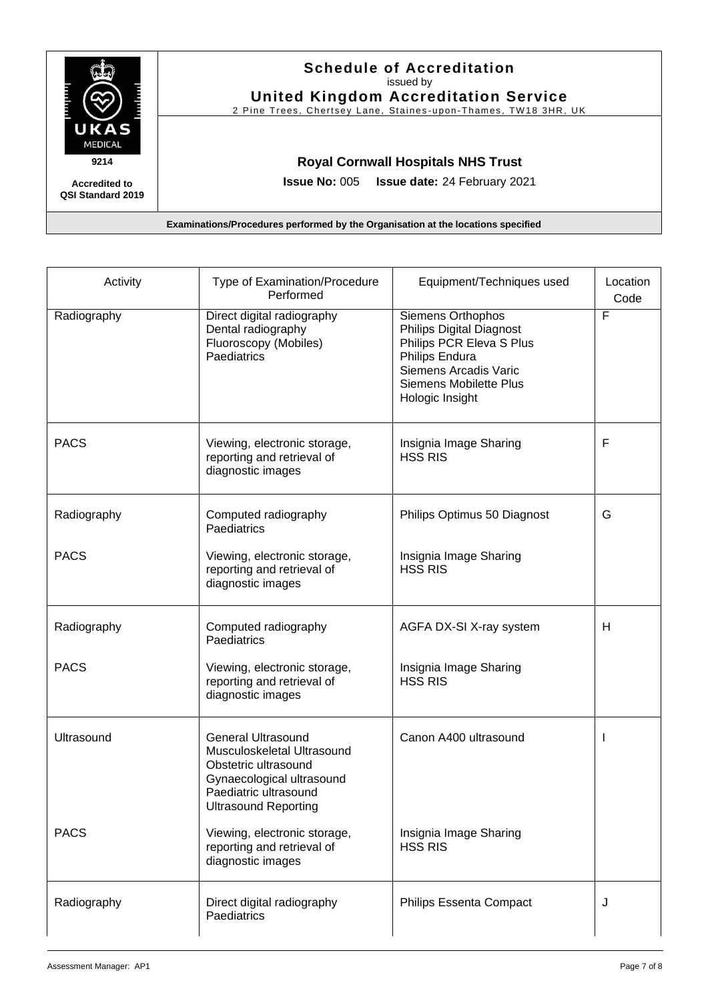

## **Schedule of Accreditation**  issued by

**United Kingdom Accreditation Service**

2 Pine Trees, Chertsey Lane, Staines-upon-Thames, TW18 3HR, UK

### **Royal Cornwall Hospitals NHS Trust**

**Issue No:** 005 **Issue date:** 24 February 2021

**QSI Standard 2019**

| Activity    | Type of Examination/Procedure<br>Performed                                                                                                                           | Equipment/Techniques used                                                                                                                                                       | Location<br>Code |
|-------------|----------------------------------------------------------------------------------------------------------------------------------------------------------------------|---------------------------------------------------------------------------------------------------------------------------------------------------------------------------------|------------------|
| Radiography | Direct digital radiography<br>Dental radiography<br>Fluoroscopy (Mobiles)<br>Paediatrics                                                                             | Siemens Orthophos<br><b>Philips Digital Diagnost</b><br>Philips PCR Eleva S Plus<br>Philips Endura<br>Siemens Arcadis Varic<br><b>Siemens Mobilette Plus</b><br>Hologic Insight | F                |
| <b>PACS</b> | Viewing, electronic storage,<br>reporting and retrieval of<br>diagnostic images                                                                                      | Insignia Image Sharing<br><b>HSS RIS</b>                                                                                                                                        | F                |
| Radiography | Computed radiography<br>Paediatrics                                                                                                                                  | Philips Optimus 50 Diagnost                                                                                                                                                     | G                |
| <b>PACS</b> | Viewing, electronic storage,<br>reporting and retrieval of<br>diagnostic images                                                                                      | Insignia Image Sharing<br><b>HSS RIS</b>                                                                                                                                        |                  |
| Radiography | Computed radiography<br>Paediatrics                                                                                                                                  | AGFA DX-SI X-ray system                                                                                                                                                         | H                |
| <b>PACS</b> | Viewing, electronic storage,<br>reporting and retrieval of<br>diagnostic images                                                                                      | Insignia Image Sharing<br><b>HSS RIS</b>                                                                                                                                        |                  |
| Ultrasound  | <b>General Ultrasound</b><br>Musculoskeletal Ultrasound<br>Obstetric ultrasound<br>Gynaecological ultrasound<br>Paediatric ultrasound<br><b>Ultrasound Reporting</b> | Canon A400 ultrasound                                                                                                                                                           | J.               |
| <b>PACS</b> | Viewing, electronic storage,<br>reporting and retrieval of<br>diagnostic images                                                                                      | Insignia Image Sharing<br><b>HSS RIS</b>                                                                                                                                        |                  |
| Radiography | Direct digital radiography<br>Paediatrics                                                                                                                            | Philips Essenta Compact                                                                                                                                                         | J                |